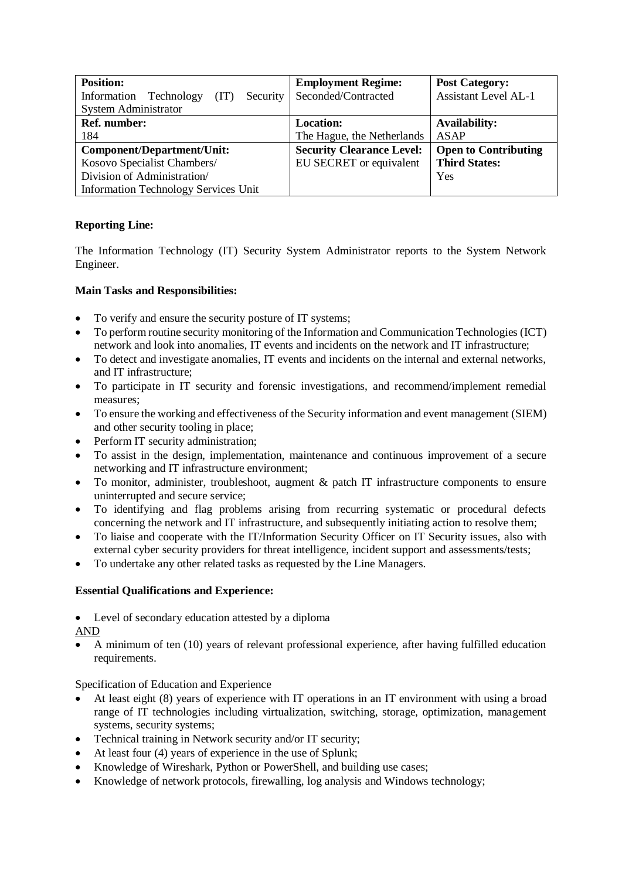| <b>Position:</b>                              | <b>Employment Regime:</b>        | <b>Post Category:</b>       |
|-----------------------------------------------|----------------------------------|-----------------------------|
| Information<br>Technology<br>(TT)<br>Security | Seconded/Contracted              | <b>Assistant Level AL-1</b> |
| <b>System Administrator</b>                   |                                  |                             |
| <b>Ref. number:</b>                           | <b>Location:</b>                 | <b>Availability:</b>        |
| 184                                           | The Hague, the Netherlands       | <b>ASAP</b>                 |
| Component/Department/Unit:                    | <b>Security Clearance Level:</b> | <b>Open to Contributing</b> |
| Kosovo Specialist Chambers/                   | EU SECRET or equivalent          | <b>Third States:</b>        |
| Division of Administration/                   |                                  | Yes                         |
| <b>Information Technology Services Unit</b>   |                                  |                             |

## **Reporting Line:**

The Information Technology (IT) Security System Administrator reports to the System Network Engineer.

## **Main Tasks and Responsibilities:**

- To verify and ensure the security posture of IT systems;
- To perform routine security monitoring of the Information and Communication Technologies (ICT) network and look into anomalies, IT events and incidents on the network and IT infrastructure;
- To detect and investigate anomalies, IT events and incidents on the internal and external networks, and IT infrastructure;
- To participate in IT security and forensic investigations, and recommend/implement remedial measures;
- To ensure the working and effectiveness of the Security information and event management (SIEM) and other security tooling in place;
- Perform IT security administration:
- To assist in the design, implementation, maintenance and continuous improvement of a secure networking and IT infrastructure environment;
- To monitor, administer, troubleshoot, augment & patch IT infrastructure components to ensure uninterrupted and secure service;
- To identifying and flag problems arising from recurring systematic or procedural defects concerning the network and IT infrastructure, and subsequently initiating action to resolve them;
- To liaise and cooperate with the IT/Information Security Officer on IT Security issues, also with external cyber security providers for threat intelligence, incident support and assessments/tests;
- To undertake any other related tasks as requested by the Line Managers.

## **Essential Qualifications and Experience:**

• Level of secondary education attested by a diploma

AND

• A minimum of ten (10) years of relevant professional experience, after having fulfilled education requirements.

Specification of Education and Experience

- At least eight (8) years of experience with IT operations in an IT environment with using a broad range of IT technologies including virtualization, switching, storage, optimization, management systems, security systems;
- Technical training in Network security and/or IT security;
- At least four (4) years of experience in the use of Splunk;
- Knowledge of Wireshark, Python or PowerShell, and building use cases;
- Knowledge of network protocols, firewalling, log analysis and Windows technology;